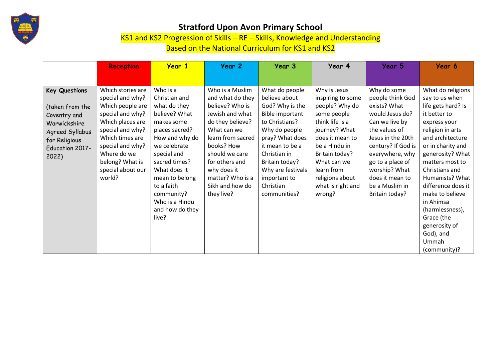

## **Stratford Upon Avon Primary School**

KS1 and KS2 Progression of Skills – RE – Skills, Knowledge and Understanding

Based on the National Curriculum for KS1 and KS2

|                                                                                            | <b>Reception</b>                                                                                                      | <b>Year 1</b>                                                                                                                                                              | Year 2                                                                                                                                  | Year 3                                                                                                                                 | Year 4                                                                                                                            | Year 5                                                                                                                                                 | Year 6                                                                                                                                                                                                                                                          |
|--------------------------------------------------------------------------------------------|-----------------------------------------------------------------------------------------------------------------------|----------------------------------------------------------------------------------------------------------------------------------------------------------------------------|-----------------------------------------------------------------------------------------------------------------------------------------|----------------------------------------------------------------------------------------------------------------------------------------|-----------------------------------------------------------------------------------------------------------------------------------|--------------------------------------------------------------------------------------------------------------------------------------------------------|-----------------------------------------------------------------------------------------------------------------------------------------------------------------------------------------------------------------------------------------------------------------|
|                                                                                            |                                                                                                                       |                                                                                                                                                                            |                                                                                                                                         |                                                                                                                                        |                                                                                                                                   |                                                                                                                                                        |                                                                                                                                                                                                                                                                 |
| <b>Key Questions</b><br>(taken from the<br>Coventry and<br>Warwickshire<br>Agreed Syllabus | Which stories are<br>special and why?<br>Which people are<br>special and why?<br>Which places are<br>special and why? | Who is a<br>Christian and<br>what do they<br>believe? What<br>makes some<br>places sacred?                                                                                 | Who is a Muslim<br>and what do they<br>believe? Who is<br>Jewish and what<br>do they believe?<br>What can we                            | What do people<br>believe about<br>God? Why is the<br><b>Bible important</b><br>to Christians?<br>Why do people                        | Why is Jesus<br>inspiring to some<br>people? Why do<br>some people<br>think life is a<br>journey? What                            | Why do some<br>people think God<br>exists? What<br>would Jesus do?<br>Can we live by<br>the values of                                                  | What do religions<br>say to us when<br>life gets hard? Is<br>it better to<br>express your<br>religion in arts                                                                                                                                                   |
| for Religious<br><b>Education 2017-</b><br>2022)                                           | Which times are<br>special and why?<br>Where do we<br>belong? What is<br>special about our<br>world?                  | How and why do<br>we celebrate<br>special and<br>sacred times?<br>What does it<br>mean to belong<br>to a faith<br>community?<br>Who is a Hindu<br>and how do they<br>live? | learn from sacred<br>books? How<br>should we care<br>for others and<br>why does it<br>matter? Who is a<br>Sikh and how do<br>they live? | pray? What does<br>it mean to be a<br>Christian in<br>Britain today?<br>Why are festivals<br>important to<br>Christian<br>communities? | does it mean to<br>be a Hindu in<br>Britain today?<br>What can we<br>learn from<br>religions about<br>what is right and<br>wrong? | Jesus in the 20th<br>century? If God is<br>everywhere, why<br>go to a place of<br>worship? What<br>does it mean to<br>be a Muslim in<br>Britain today? | and architecture<br>or in charity and<br>generosity? What<br>matters most to<br>Christians and<br>Humanists? What<br>difference does it<br>make to believe<br>in Ahimsa<br>(harmlessness),<br>Grace (the<br>generosity of<br>God), and<br>Ummah<br>(community)? |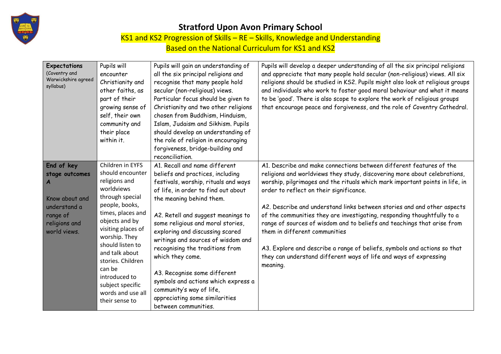

## **Stratford Upon Avon Primary School**

KS1 and KS2 Progression of Skills – RE – Skills, Knowledge and Understanding

Based on the National Curriculum for KS1 and KS2

| Expectations<br>(Coventry and<br>Warwickshire agreed<br>syllabus)                                                | Pupils will<br>encounter<br>Christianity and<br>other faiths, as<br>part of their<br>growing sense of<br>self, their own<br>community and<br>their place<br>within it.                                                                                                                                                                  | Pupils will gain an understanding of<br>all the six principal religions and<br>recognise that many people hold<br>secular (non-religious) views.<br>Particular focus should be given to<br>Christianity and two other religions<br>chosen from Buddhism, Hinduism,<br>Islam, Judaism and Sikhism. Pupils<br>should develop an understanding of<br>the role of religion in encouraging<br>forgiveness, bridge-building and<br>reconciliation.                                                                                                         | Pupils will develop a deeper understanding of all the six principal religions<br>and appreciate that many people hold secular (non-religious) views. All six<br>religions should be studied in KS2. Pupils might also look at religious groups<br>and individuals who work to foster good moral behaviour and what it means<br>to be 'good'. There is also scope to explore the work of religious groups<br>that encourage peace and forgiveness, and the role of Coventry Cathedral.                                                                                                                                                                                                                      |
|------------------------------------------------------------------------------------------------------------------|-----------------------------------------------------------------------------------------------------------------------------------------------------------------------------------------------------------------------------------------------------------------------------------------------------------------------------------------|------------------------------------------------------------------------------------------------------------------------------------------------------------------------------------------------------------------------------------------------------------------------------------------------------------------------------------------------------------------------------------------------------------------------------------------------------------------------------------------------------------------------------------------------------|------------------------------------------------------------------------------------------------------------------------------------------------------------------------------------------------------------------------------------------------------------------------------------------------------------------------------------------------------------------------------------------------------------------------------------------------------------------------------------------------------------------------------------------------------------------------------------------------------------------------------------------------------------------------------------------------------------|
| End of key<br>stage outcomes<br>A<br>Know about and<br>understand a<br>range of<br>religions and<br>world views. | Children in EYFS<br>should encounter<br>religions and<br>worldviews<br>through special<br>people, books,<br>times, places and<br>objects and by<br>visiting places of<br>worship. They<br>should listen to<br>and talk about<br>stories. Children<br>can be<br>introduced to<br>subject specific<br>words and use all<br>their sense to | A1. Recall and name different<br>beliefs and practices, including<br>festivals, worship, rituals and ways<br>of life, in order to find out about<br>the meaning behind them.<br>A2. Retell and suggest meanings to<br>some religious and moral stories,<br>exploring and discussing scared<br>writings and sources of wisdom and<br>recognising the traditions from<br>which they come.<br>A3. Recognise some different<br>symbols and actions which express a<br>community's way of life,<br>appreciating some similarities<br>between communities. | A1. Describe and make connections between different features of the<br>religions and worldviews they study, discovering more about celebrations,<br>worship, pilgrimages and the rituals which mark important points in life, in<br>order to reflect on their significance.<br>A2. Describe and understand links between stories and and other aspects<br>of the communities they are investigating, responding thoughtfully to a<br>range of sources of wisdom and to beliefs and teachings that arise from<br>them in different communities<br>A3. Explore and describe a range of beliefs, symbols and actions so that<br>they can understand different ways of life and ways of expressing<br>meaning. |